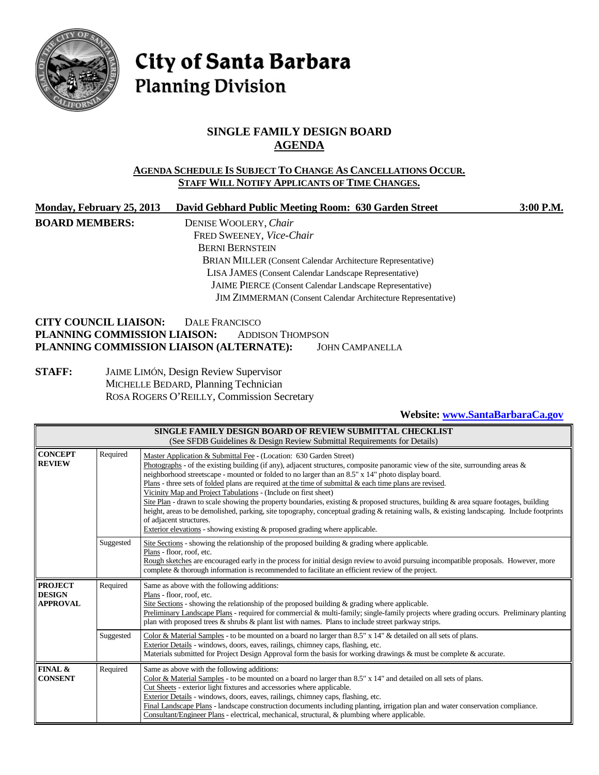

# City of Santa Barbara **Planning Division**

## **SINGLE FAMILY DESIGN BOARD AGENDA**

#### **AGENDA SCHEDULE IS SUBJECT TO CHANGE AS CANCELLATIONS OCCUR. STAFF WILL NOTIFY APPLICANTS OF TIME CHANGES.**

| Monday, February 25, 2013                | David Gebhard Public Meeting Room: 630 Garden Street                | 3:00 P.M. |
|------------------------------------------|---------------------------------------------------------------------|-----------|
| <b>BOARD MEMBERS:</b>                    | DENISE WOOLERY, Chair                                               |           |
|                                          | FRED SWEENEY, Vice-Chair                                            |           |
|                                          | <b>BERNI BERNSTEIN</b>                                              |           |
|                                          | <b>BRIAN MILLER</b> (Consent Calendar Architecture Representative)  |           |
|                                          | LISA JAMES (Consent Calendar Landscape Representative)              |           |
|                                          | JAIME PIERCE (Consent Calendar Landscape Representative)            |           |
|                                          | <b>JIM ZIMMERMAN</b> (Consent Calendar Architecture Representative) |           |
| <b>CITY COUNCIL LIAISON:</b>             | DALE FRANCISCO                                                      |           |
| PLANNING COMMISSION LIAISON:             | <b>ADDISON THOMPSON</b>                                             |           |
| PLANNING COMMISSION LIAISON (ALTERNATE): | <b>JOHN CAMPANELLA</b>                                              |           |

**STAFF:** JAIME LIMÓN, Design Review Supervisor MICHELLE BEDARD, Planning Technician ROSA ROGERS O'REILLY, Commission Secretary

## **Website: [www.SantaBarbaraCa.gov](http://www.santabarbaraca.gov/)**

| SINGLE FAMILY DESIGN BOARD OF REVIEW SUBMITTAL CHECKLIST<br>(See SFDB Guidelines & Design Review Submittal Requirements for Details) |           |                                                                                                                                                                                                                                                                                                                                                                                                                                                                                                                                                                                                                                                                                                                                                                                                                                                                                                           |
|--------------------------------------------------------------------------------------------------------------------------------------|-----------|-----------------------------------------------------------------------------------------------------------------------------------------------------------------------------------------------------------------------------------------------------------------------------------------------------------------------------------------------------------------------------------------------------------------------------------------------------------------------------------------------------------------------------------------------------------------------------------------------------------------------------------------------------------------------------------------------------------------------------------------------------------------------------------------------------------------------------------------------------------------------------------------------------------|
| Required<br><b>CONCEPT</b><br><b>REVIEW</b>                                                                                          |           | Master Application & Submittal Fee - (Location: 630 Garden Street)<br>Photographs - of the existing building (if any), adjacent structures, composite panoramic view of the site, surrounding areas $\&$<br>neighborhood streetscape - mounted or folded to no larger than an 8.5" x 14" photo display board.<br>Plans - three sets of <u>folded</u> plans are required at the time of submittal $\&$ each time plans are revised.<br>Vicinity Map and Project Tabulations - (Include on first sheet)<br>Site Plan - drawn to scale showing the property boundaries, existing & proposed structures, building & area square footages, building<br>height, areas to be demolished, parking, site topography, conceptual grading & retaining walls, & existing landscaping. Include footprints<br>of adjacent structures.<br>Exterior elevations - showing existing $\&$ proposed grading where applicable. |
|                                                                                                                                      | Suggested | Site Sections - showing the relationship of the proposed building $\&$ grading where applicable.<br>Plans - floor, roof, etc.<br>Rough sketches are encouraged early in the process for initial design review to avoid pursuing incompatible proposals. However, more<br>complete & thorough information is recommended to facilitate an efficient review of the project.                                                                                                                                                                                                                                                                                                                                                                                                                                                                                                                                 |
| <b>PROJECT</b><br><b>DESIGN</b><br><b>APPROVAL</b>                                                                                   | Required  | Same as above with the following additions:<br>Plans - floor, roof, etc.<br>Site Sections - showing the relationship of the proposed building $\&$ grading where applicable.<br>Preliminary Landscape Plans - required for commercial & multi-family; single-family projects where grading occurs. Preliminary planting<br>plan with proposed trees & shrubs & plant list with names. Plans to include street parkway strips.                                                                                                                                                                                                                                                                                                                                                                                                                                                                             |
|                                                                                                                                      | Suggested | Color & Material Samples - to be mounted on a board no larger than 8.5" x 14" & detailed on all sets of plans.<br>Exterior Details - windows, doors, eaves, railings, chimney caps, flashing, etc.<br>Materials submitted for Project Design Approval form the basis for working drawings & must be complete & accurate.                                                                                                                                                                                                                                                                                                                                                                                                                                                                                                                                                                                  |
| <b>FINAL &amp;</b><br><b>CONSENT</b>                                                                                                 | Required  | Same as above with the following additions:<br>Color & Material Samples - to be mounted on a board no larger than 8.5" x 14" and detailed on all sets of plans.<br>Cut Sheets - exterior light fixtures and accessories where applicable.<br>Exterior Details - windows, doors, eaves, railings, chimney caps, flashing, etc.<br>Final Landscape Plans - landscape construction documents including planting, irrigation plan and water conservation compliance.<br>Consultant/Engineer Plans - electrical, mechanical, structural, & plumbing where applicable.                                                                                                                                                                                                                                                                                                                                          |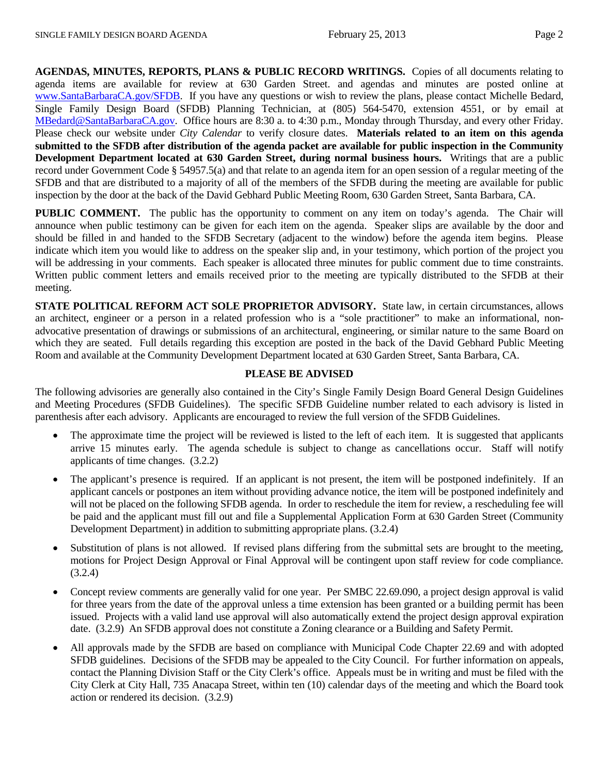**AGENDAS, MINUTES, REPORTS, PLANS & PUBLIC RECORD WRITINGS.** Copies of all documents relating to agenda items are available for review at 630 Garden Street. and agendas and minutes are posted online at [www.SantaBarbaraCA.gov/SFDB.](http://www.santabarbaraca.gov/ABR) If you have any questions or wish to review the plans, please contact Michelle Bedard, Single Family Design Board (SFDB) Planning Technician, at (805) 564-5470, extension 4551, or by email at [MBedard@SantaBarbaraCA.gov.](mailto:MBedard@SantaBarbaraCA.gov) Office hours are 8:30 a. to 4:30 p.m., Monday through Thursday, and every other Friday. Please check our website under *City Calendar* to verify closure dates. **Materials related to an item on this agenda submitted to the SFDB after distribution of the agenda packet are available for public inspection in the Community Development Department located at 630 Garden Street, during normal business hours.** Writings that are a public record under Government Code § 54957.5(a) and that relate to an agenda item for an open session of a regular meeting of the SFDB and that are distributed to a majority of all of the members of the SFDB during the meeting are available for public inspection by the door at the back of the David Gebhard Public Meeting Room, 630 Garden Street, Santa Barbara, CA.

**PUBLIC COMMENT.** The public has the opportunity to comment on any item on today's agenda. The Chair will announce when public testimony can be given for each item on the agenda. Speaker slips are available by the door and should be filled in and handed to the SFDB Secretary (adjacent to the window) before the agenda item begins. Please indicate which item you would like to address on the speaker slip and, in your testimony, which portion of the project you will be addressing in your comments. Each speaker is allocated three minutes for public comment due to time constraints. Written public comment letters and emails received prior to the meeting are typically distributed to the SFDB at their meeting.

**STATE POLITICAL REFORM ACT SOLE PROPRIETOR ADVISORY.** State law, in certain circumstances, allows an architect, engineer or a person in a related profession who is a "sole practitioner" to make an informational, nonadvocative presentation of drawings or submissions of an architectural, engineering, or similar nature to the same Board on which they are seated. Full details regarding this exception are posted in the back of the David Gebhard Public Meeting Room and available at the Community Development Department located at 630 Garden Street, Santa Barbara, CA.

#### **PLEASE BE ADVISED**

The following advisories are generally also contained in the City's Single Family Design Board General Design Guidelines and Meeting Procedures (SFDB Guidelines). The specific SFDB Guideline number related to each advisory is listed in parenthesis after each advisory. Applicants are encouraged to review the full version of the SFDB Guidelines.

- The approximate time the project will be reviewed is listed to the left of each item. It is suggested that applicants arrive 15 minutes early. The agenda schedule is subject to change as cancellations occur. Staff will notify applicants of time changes. (3.2.2)
- The applicant's presence is required. If an applicant is not present, the item will be postponed indefinitely. If an applicant cancels or postpones an item without providing advance notice, the item will be postponed indefinitely and will not be placed on the following SFDB agenda. In order to reschedule the item for review, a rescheduling fee will be paid and the applicant must fill out and file a Supplemental Application Form at 630 Garden Street (Community Development Department) in addition to submitting appropriate plans. (3.2.4)
- Substitution of plans is not allowed. If revised plans differing from the submittal sets are brought to the meeting, motions for Project Design Approval or Final Approval will be contingent upon staff review for code compliance. (3.2.4)
- Concept review comments are generally valid for one year. Per SMBC 22.69.090, a project design approval is valid for three years from the date of the approval unless a time extension has been granted or a building permit has been issued. Projects with a valid land use approval will also automatically extend the project design approval expiration date. (3.2.9) An SFDB approval does not constitute a Zoning clearance or a Building and Safety Permit.
- All approvals made by the SFDB are based on compliance with Municipal Code Chapter 22.69 and with adopted SFDB guidelines. Decisions of the SFDB may be appealed to the City Council. For further information on appeals, contact the Planning Division Staff or the City Clerk's office. Appeals must be in writing and must be filed with the City Clerk at City Hall, 735 Anacapa Street, within ten (10) calendar days of the meeting and which the Board took action or rendered its decision. (3.2.9)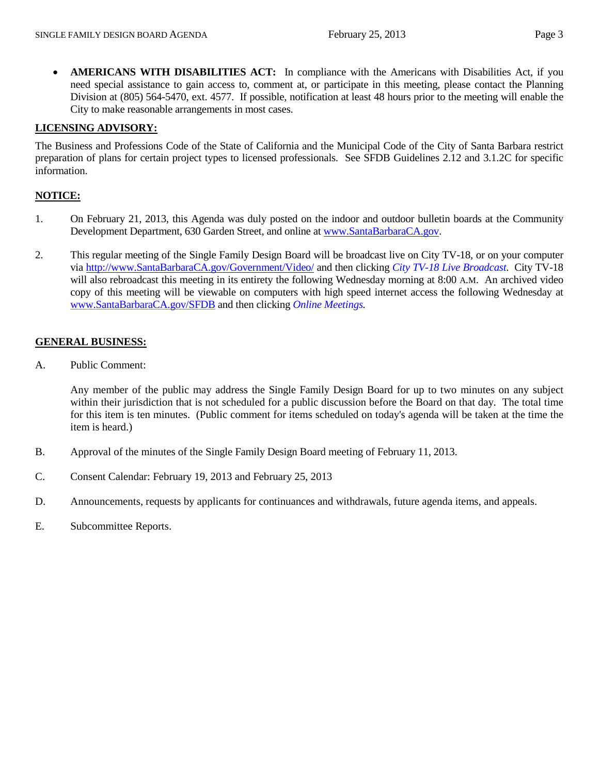• **AMERICANS WITH DISABILITIES ACT:** In compliance with the Americans with Disabilities Act, if you need special assistance to gain access to, comment at, or participate in this meeting, please contact the Planning Division at (805) 564-5470, ext. 4577. If possible, notification at least 48 hours prior to the meeting will enable the City to make reasonable arrangements in most cases.

#### **LICENSING ADVISORY:**

The Business and Professions Code of the State of California and the Municipal Code of the City of Santa Barbara restrict preparation of plans for certain project types to licensed professionals. See SFDB Guidelines 2.12 and 3.1.2C for specific information.

#### **NOTICE:**

- 1. On February 21, 2013, this Agenda was duly posted on the indoor and outdoor bulletin boards at the Community Development Department, 630 Garden Street, and online at [www.SantaBarbaraCA.gov.](http://www.santabarbaraca.gov/)
- 2. This regular meeting of the Single Family Design Board will be broadcast live on City TV-18, or on your computer via [http://www.SantaBarbaraCA.gov/Government/Video/](http://www.santabarbaraca.gov/Government/Video/) and then clicking *City TV-18 Live Broadcast*. City TV-18 will also rebroadcast this meeting in its entirety the following Wednesday morning at 8:00 A.M. An archived video copy of this meeting will be viewable on computers with high speed internet access the following Wednesday at [www.SantaBarbaraCA.gov/SFDB](http://www.santabarbaraca.gov/SFDB) and then clicking *Online Meetings.*

#### **GENERAL BUSINESS:**

A. Public Comment:

Any member of the public may address the Single Family Design Board for up to two minutes on any subject within their jurisdiction that is not scheduled for a public discussion before the Board on that day. The total time for this item is ten minutes. (Public comment for items scheduled on today's agenda will be taken at the time the item is heard.)

- B. Approval of the minutes of the Single Family Design Board meeting of February 11, 2013.
- C. Consent Calendar: February 19, 2013 and February 25, 2013
- D. Announcements, requests by applicants for continuances and withdrawals, future agenda items, and appeals.
- E. Subcommittee Reports.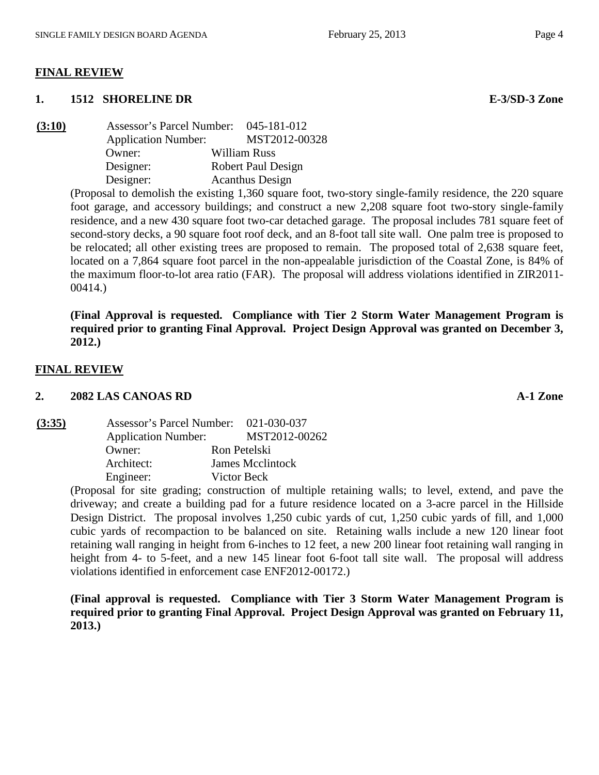#### **FINAL REVIEW**

#### **1. 1512 SHORELINE DR E-3/SD-3 Zone**

| (3:10) | Assessor's Parcel Number:  | 045-181-012            |
|--------|----------------------------|------------------------|
|        | <b>Application Number:</b> | MST2012-00328          |
|        | Owner:                     | William Russ           |
|        | Designer:                  | Robert Paul Design     |
|        | Designer:                  | <b>Acanthus Design</b> |

(Proposal to demolish the existing 1,360 square foot, two-story single-family residence, the 220 square foot garage, and accessory buildings; and construct a new 2,208 square foot two-story single-family residence, and a new 430 square foot two-car detached garage. The proposal includes 781 square feet of second-story decks, a 90 square foot roof deck, and an 8-foot tall site wall. One palm tree is proposed to be relocated; all other existing trees are proposed to remain. The proposed total of 2,638 square feet, located on a 7,864 square foot parcel in the non-appealable jurisdiction of the Coastal Zone, is 84% of the maximum floor-to-lot area ratio (FAR). The proposal will address violations identified in ZIR2011- 00414.)

**(Final Approval is requested. Compliance with Tier 2 Storm Water Management Program is required prior to granting Final Approval. Project Design Approval was granted on December 3, 2012.)**

#### **FINAL REVIEW**

#### **2. 2082 LAS CANOAS RD A-1 Zone**

**(3:35)** Assessor's Parcel Number: 021-030-037 Application Number: MST2012-00262 Owner: Ron Petelski Architect: James Mcclintock Engineer: Victor Beck

> (Proposal for site grading; construction of multiple retaining walls; to level, extend, and pave the driveway; and create a building pad for a future residence located on a 3-acre parcel in the Hillside Design District. The proposal involves 1,250 cubic yards of cut, 1,250 cubic yards of fill, and 1,000 cubic yards of recompaction to be balanced on site. Retaining walls include a new 120 linear foot retaining wall ranging in height from 6-inches to 12 feet, a new 200 linear foot retaining wall ranging in height from 4- to 5-feet, and a new 145 linear foot 6-foot tall site wall. The proposal will address violations identified in enforcement case ENF2012-00172.)

> **(Final approval is requested. Compliance with Tier 3 Storm Water Management Program is required prior to granting Final Approval. Project Design Approval was granted on February 11, 2013.)**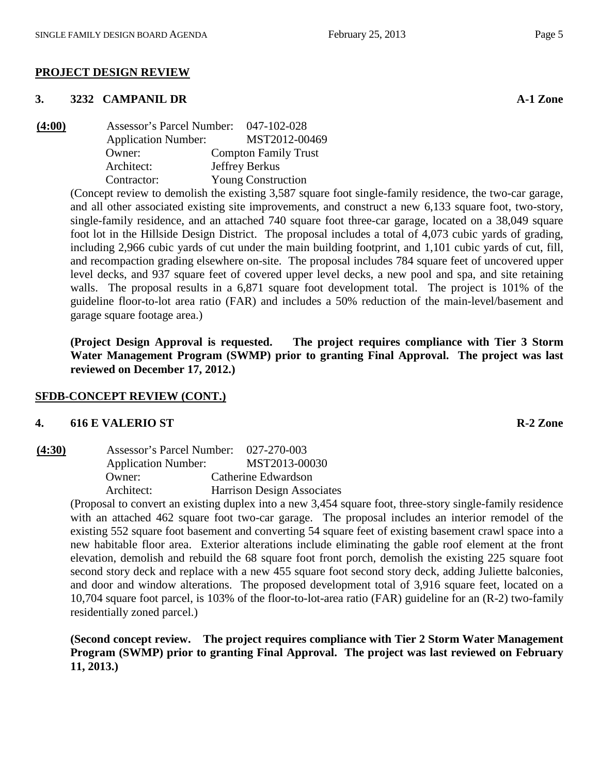#### **3. 3232 CAMPANIL DR A-1 Zone**

| (4:00) | Assessor's Parcel Number:  | 047-102-028                 |
|--------|----------------------------|-----------------------------|
|        | <b>Application Number:</b> | MST2012-00469               |
|        | Owner:                     | <b>Compton Family Trust</b> |
|        | Architect:                 | Jeffrey Berkus              |
|        | Contractor:                | <b>Young Construction</b>   |

(Concept review to demolish the existing 3,587 square foot single-family residence, the two-car garage, and all other associated existing site improvements, and construct a new 6,133 square foot, two-story, single-family residence, and an attached 740 square foot three-car garage, located on a 38,049 square foot lot in the Hillside Design District. The proposal includes a total of 4,073 cubic yards of grading, including 2,966 cubic yards of cut under the main building footprint, and 1,101 cubic yards of cut, fill, and recompaction grading elsewhere on-site. The proposal includes 784 square feet of uncovered upper level decks, and 937 square feet of covered upper level decks, a new pool and spa, and site retaining walls. The proposal results in a 6,871 square foot development total. The project is 101% of the guideline floor-to-lot area ratio (FAR) and includes a 50% reduction of the main-level/basement and garage square footage area.)

**(Project Design Approval is requested. The project requires compliance with Tier 3 Storm Water Management Program (SWMP) prior to granting Final Approval. The project was last reviewed on December 17, 2012.)**

## **SFDB-CONCEPT REVIEW (CONT.)**

#### **4. 616 E VALERIO ST R-2 Zone**

| (4:30) | Assessor's Parcel Number:  | 027-270-003                       |
|--------|----------------------------|-----------------------------------|
|        | <b>Application Number:</b> | MST2013-00030                     |
|        | Owner:                     | Catherine Edwardson               |
|        | Architect:                 | <b>Harrison Design Associates</b> |

(Proposal to convert an existing duplex into a new 3,454 square foot, three-story single-family residence with an attached 462 square foot two-car garage. The proposal includes an interior remodel of the existing 552 square foot basement and converting 54 square feet of existing basement crawl space into a new habitable floor area. Exterior alterations include eliminating the gable roof element at the front elevation, demolish and rebuild the 68 square foot front porch, demolish the existing 225 square foot second story deck and replace with a new 455 square foot second story deck, adding Juliette balconies, and door and window alterations. The proposed development total of 3,916 square feet, located on a 10,704 square foot parcel, is 103% of the floor-to-lot-area ratio (FAR) guideline for an (R-2) two-family residentially zoned parcel.)

**(Second concept review. The project requires compliance with Tier 2 Storm Water Management Program (SWMP) prior to granting Final Approval. The project was last reviewed on February 11, 2013.)**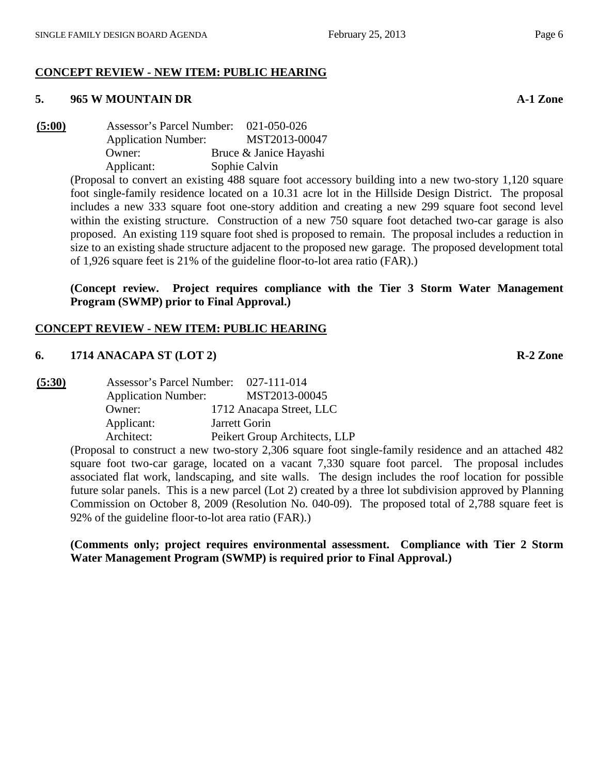## **CONCEPT REVIEW - NEW ITEM: PUBLIC HEARING**

#### **5. 965 W MOUNTAIN DR A-1 Zone**

**(5:00)** Assessor's Parcel Number: 021-050-026 Application Number: MST2013-00047 Owner: Bruce & Janice Hayashi Applicant: Sophie Calvin

(Proposal to convert an existing 488 square foot accessory building into a new two-story 1,120 square foot single-family residence located on a 10.31 acre lot in the Hillside Design District. The proposal includes a new 333 square foot one-story addition and creating a new 299 square foot second level within the existing structure. Construction of a new 750 square foot detached two-car garage is also proposed. An existing 119 square foot shed is proposed to remain. The proposal includes a reduction in size to an existing shade structure adjacent to the proposed new garage. The proposed development total of 1,926 square feet is 21% of the guideline floor-to-lot area ratio (FAR).)

**(Concept review. Project requires compliance with the Tier 3 Storm Water Management Program (SWMP) prior to Final Approval.)**

#### **CONCEPT REVIEW - NEW ITEM: PUBLIC HEARING**

## **6. 1714 ANACAPA ST (LOT 2) R-2 Zone**

| (5:30) |                            | Assessor's Parcel Number: 027-111-014 |                               |
|--------|----------------------------|---------------------------------------|-------------------------------|
|        | <b>Application Number:</b> |                                       | MST2013-00045                 |
|        | Owner:                     |                                       | 1712 Anacapa Street, LLC      |
|        | Applicant:                 |                                       | Jarrett Gorin                 |
|        | Architect:                 |                                       | Peikert Group Architects, LLP |
|        |                            |                                       |                               |

(Proposal to construct a new two-story 2,306 square foot single-family residence and an attached 482 square foot two-car garage, located on a vacant 7,330 square foot parcel. The proposal includes associated flat work, landscaping, and site walls. The design includes the roof location for possible future solar panels. This is a new parcel (Lot 2) created by a three lot subdivision approved by Planning Commission on October 8, 2009 (Resolution No. 040-09). The proposed total of 2,788 square feet is 92% of the guideline floor-to-lot area ratio (FAR).)

**(Comments only; project requires environmental assessment. Compliance with Tier 2 Storm Water Management Program (SWMP) is required prior to Final Approval.)**